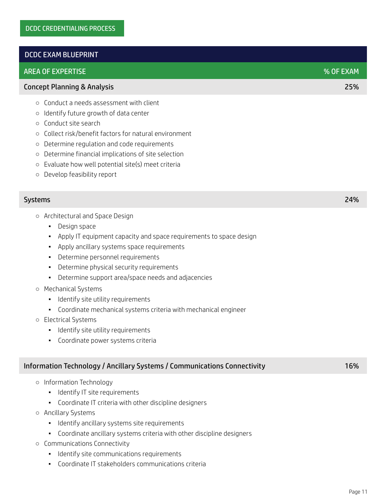## DCDC EXAM BLUEPRINT

## AREA OF EXPERTISE % OF EXAM

### Concept Planning & Analysis 25%

- Conduct a needs assessment with client
- Identify future growth of data center
- Conduct site search
- Collect risk/benefit factors for natural environment
- Determine regulation and code requirements
- Determine financial implications of site selection
- Evaluate how well potential site(s) meet criteria
- Develop feasibility report

### Systems 24%

- Architectural and Space Design
	- Design space
	- Apply IT equipment capacity and space requirements to space design
	- Apply ancillary systems space requirements
	- Determine personnel requirements
	- Determine physical security requirements
	- Determine support area/space needs and adjacencies

### ○ Mechanical Systems

- Identify site utility requirements
- Coordinate mechanical systems criteria with mechanical engineer
- Electrical Systems
	- Identify site utility requirements
	- Coordinate power systems criteria

## Information Technology / Ancillary Systems / Communications Connectivity 16%

- Information Technology
	- **·** Identify IT site requirements
	- Coordinate IT criteria with other discipline designers
- Ancillary Systems
	- Identify ancillary systems site requirements
	- Coordinate ancillary systems criteria with other discipline designers
- Communications Connectivity
	- **•** Identify site communications requirements
	- Coordinate IT stakeholders communications criteria